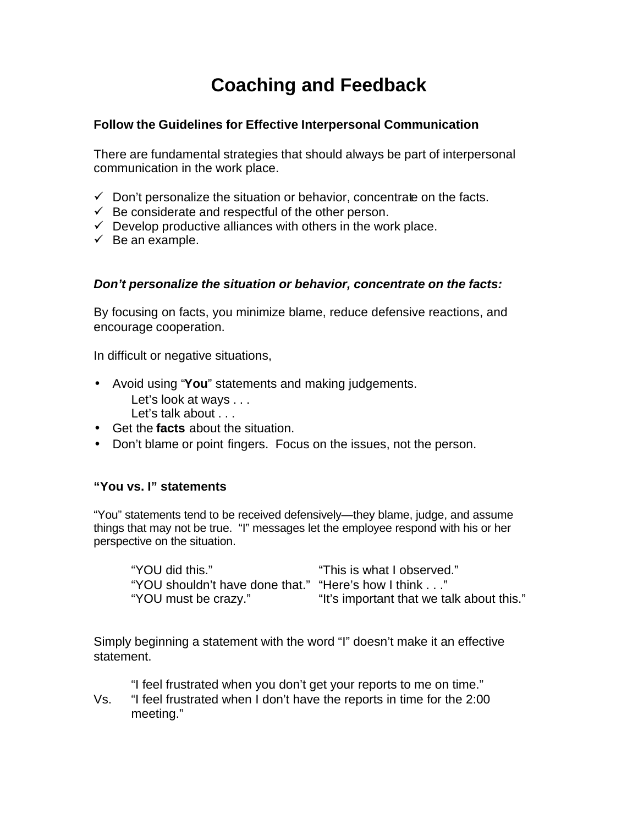# **Coaching and Feedback**

### **Follow the Guidelines for Effective Interpersonal Communication**

There are fundamental strategies that should always be part of interpersonal communication in the work place.

- $\checkmark$  Don't personalize the situation or behavior, concentrate on the facts.
- $\checkmark$  Be considerate and respectful of the other person.
- $\checkmark$  Develop productive alliances with others in the work place.
- $\checkmark$  Be an example.

### *Don't personalize the situation or behavior, concentrate on the facts:*

By focusing on facts, you minimize blame, reduce defensive reactions, and encourage cooperation.

In difficult or negative situations,

- Avoid using "**You**" statements and making judgements.
	- Let's look at ways . . .
	- Let's talk about . . .
- Get the **facts** about the situation.
- Don't blame or point fingers. Focus on the issues, not the person.

### **"You vs. I" statements**

"You" statements tend to be received defensively—they blame, judge, and assume things that may not be true. "I" messages let the employee respond with his or her perspective on the situation.

| "YOU did this."                                      | "This is what I observed."                |
|------------------------------------------------------|-------------------------------------------|
| "YOU shouldn't have done that." "Here's how I think" |                                           |
| "YOU must be crazy."                                 | "It's important that we talk about this." |

Simply beginning a statement with the word "I" doesn't make it an effective statement.

"I feel frustrated when you don't get your reports to me on time."

Vs. "I feel frustrated when I don't have the reports in time for the 2:00 meeting."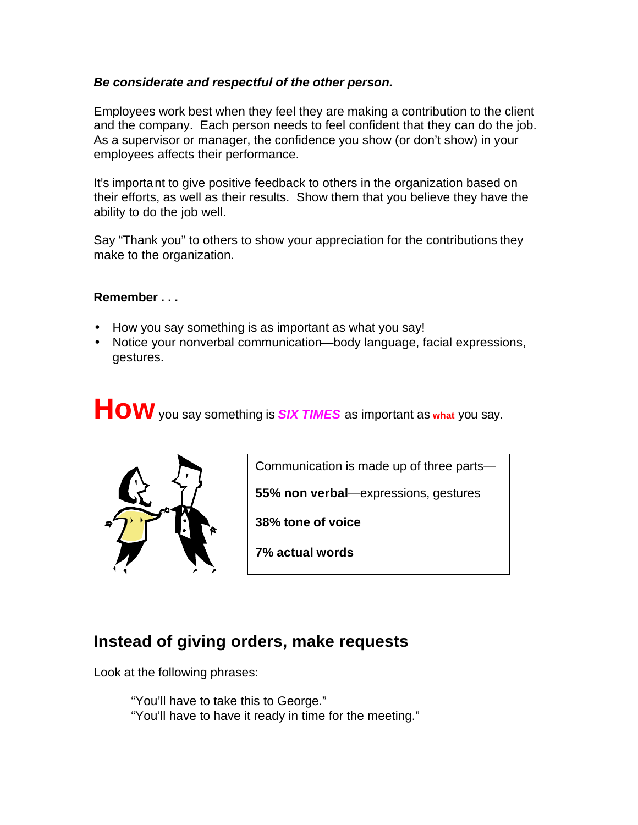### *Be considerate and respectful of the other person.*

Employees work best when they feel they are making a contribution to the client and the company. Each person needs to feel confident that they can do the job. As a supervisor or manager, the confidence you show (or don't show) in your employees affects their performance.

It's important to give positive feedback to others in the organization based on their efforts, as well as their results. Show them that you believe they have the ability to do the job well.

Say "Thank you" to others to show your appreciation for the contributions they make to the organization.

### **Remember . . .**

- How you say something is as important as what you say!
- Notice your nonverbal communication—body language, facial expressions, gestures.

**How** you say something is *SIX TIMES* as important as **what** you say.



Communication is made up of three parts—

**55% non verbal**—expressions, gestures

**38% tone of voice**

**7% actual words**

## **Instead of giving orders, make requests**

Look at the following phrases:

"You'll have to take this to George." "You'll have to have it ready in time for the meeting."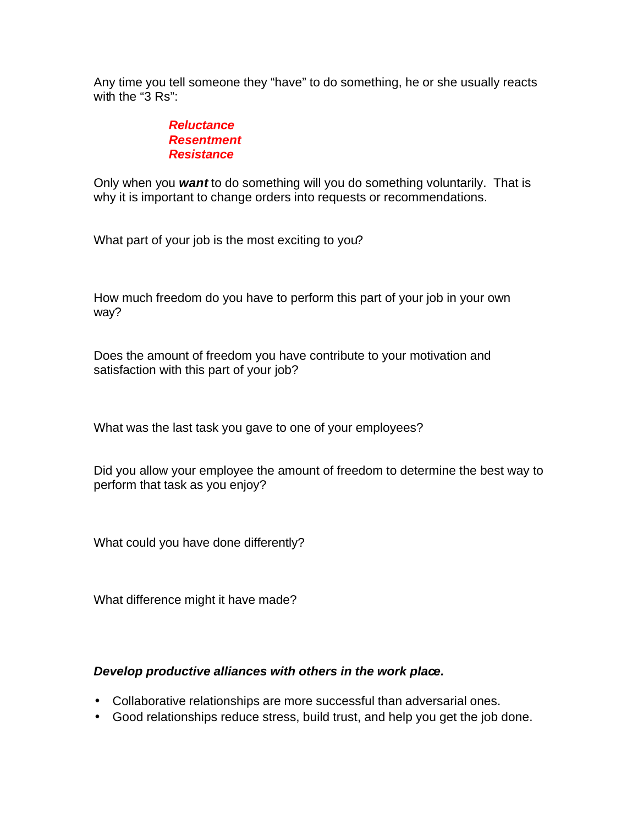Any time you tell someone they "have" to do something, he or she usually reacts with the "3 Rs":

### *Reluctance Resentment Resistance*

Only when you *want* to do something will you do something voluntarily. That is why it is important to change orders into requests or recommendations.

What part of your job is the most exciting to you?

How much freedom do you have to perform this part of your job in your own way?

Does the amount of freedom you have contribute to your motivation and satisfaction with this part of your job?

What was the last task you gave to one of your employees?

Did you allow your employee the amount of freedom to determine the best way to perform that task as you enjoy?

What could you have done differently?

What difference might it have made?

### *Develop productive alliances with others in the work place.*

- Collaborative relationships are more successful than adversarial ones.
- Good relationships reduce stress, build trust, and help you get the job done.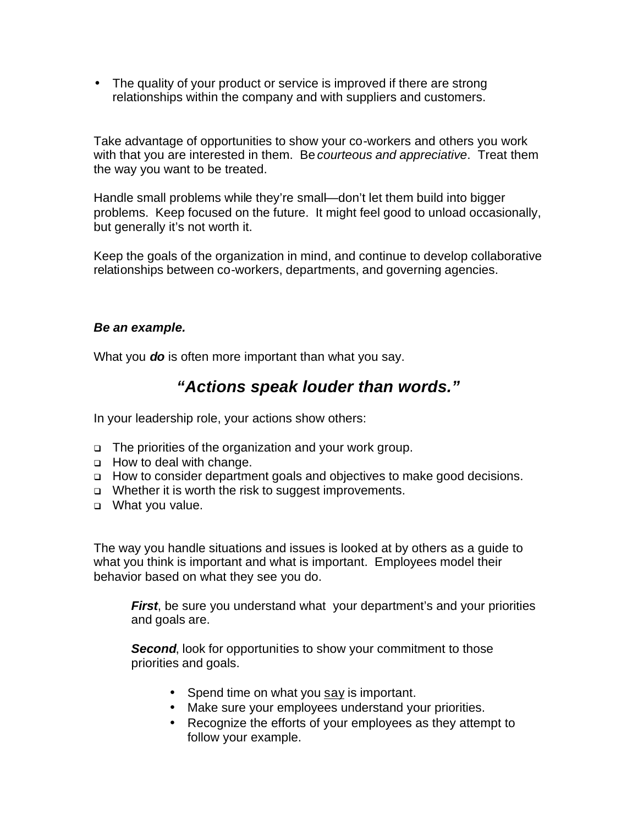• The quality of your product or service is improved if there are strong relationships within the company and with suppliers and customers.

Take advantage of opportunities to show your co-workers and others you work with that you are interested in them. Be *courteous and appreciative*. Treat them the way you want to be treated.

Handle small problems while they're small—don't let them build into bigger problems. Keep focused on the future. It might feel good to unload occasionally, but generally it's not worth it.

Keep the goals of the organization in mind, and continue to develop collaborative relationships between co-workers, departments, and governing agencies.

### *Be an example.*

What you *do* is often more important than what you say.

### *"Actions speak louder than words."*

In your leadership role, your actions show others:

- <sup>q</sup> The priorities of the organization and your work group.
- **d** How to deal with change.
- <sup>q</sup> How to consider department goals and objectives to make good decisions.
- □ Whether it is worth the risk to suggest improvements.
- <sup>q</sup> What you value.

The way you handle situations and issues is looked at by others as a guide to what you think is important and what is important. Employees model their behavior based on what they see you do.

*First*, be sure you understand what your department's and your priorities and goals are.

**Second**, look for opportunities to show your commitment to those priorities and goals.

- Spend time on what you say is important.
- Make sure your employees understand your priorities.
- Recognize the efforts of your employees as they attempt to follow your example.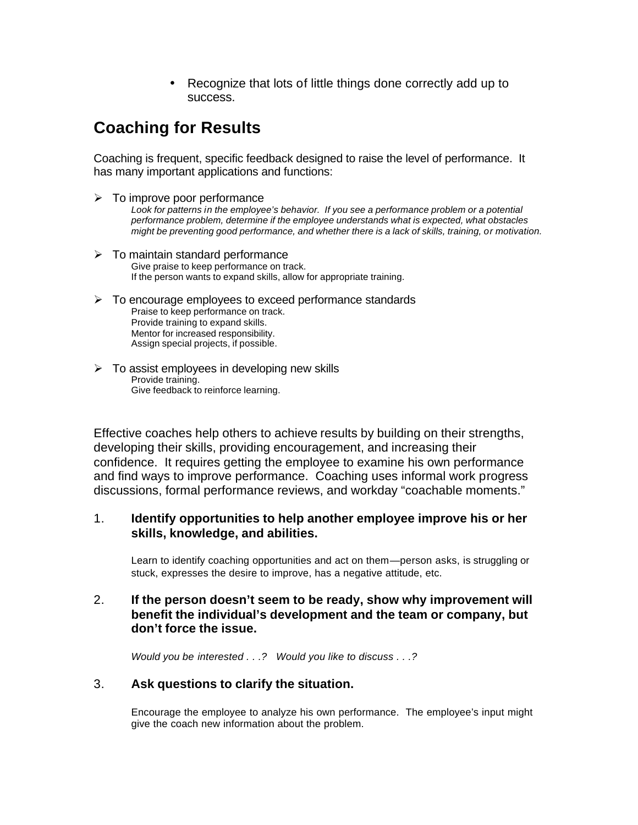• Recognize that lots of little things done correctly add up to success.

## **Coaching for Results**

Coaching is frequent, specific feedback designed to raise the level of performance. It has many important applications and functions:

- $\triangleright$  To improve poor performance Look for patterns in the employee's behavior. If you see a performance problem or a potential *performance problem, determine if the employee understands what is expected, what obstacles might be preventing good performance, and whether there is a lack of skills, training, or motivation.*
- $\geq$  To maintain standard performance Give praise to keep performance on track. If the person wants to expand skills, allow for appropriate training.
- $\triangleright$  To encourage employees to exceed performance standards Praise to keep performance on track. Provide training to expand skills. Mentor for increased responsibility. Assign special projects, if possible.
- $\triangleright$  To assist employees in developing new skills Provide training. Give feedback to reinforce learning.

Effective coaches help others to achieve results by building on their strengths, developing their skills, providing encouragement, and increasing their confidence. It requires getting the employee to examine his own performance and find ways to improve performance. Coaching uses informal work progress discussions, formal performance reviews, and workday "coachable moments."

### 1. **Identify opportunities to help another employee improve his or her skills, knowledge, and abilities.**

Learn to identify coaching opportunities and act on them—person asks, is struggling or stuck, expresses the desire to improve, has a negative attitude, etc.

### 2. **If the person doesn't seem to be ready, show why improvement will benefit the individual's development and the team or company, but don't force the issue.**

*Would you be interested . . .? Would you like to discuss . . .?*

### 3. **Ask questions to clarify the situation.**

Encourage the employee to analyze his own performance. The employee's input might give the coach new information about the problem.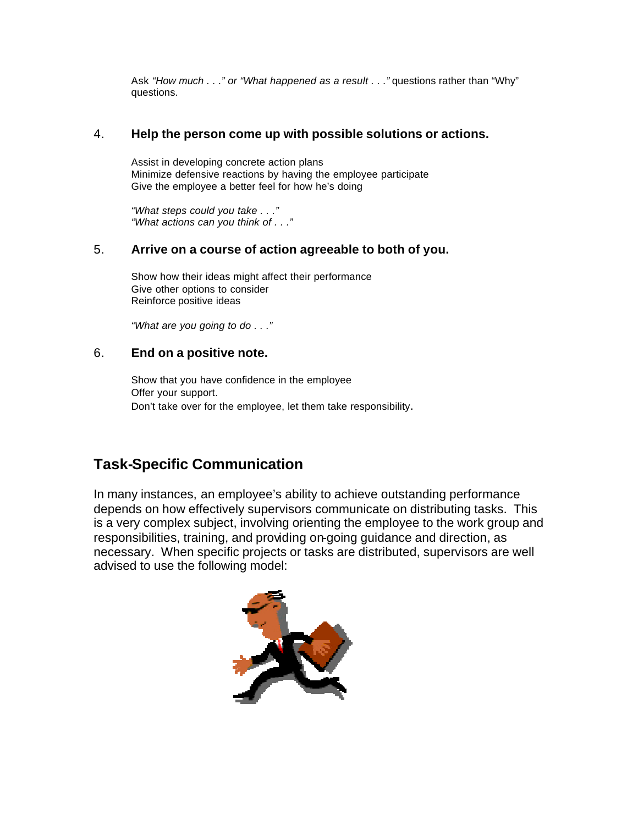Ask *"How much . . ." or "What happened as a result . . ."* questions rather than "Why" questions.

### 4. **Help the person come up with possible solutions or actions.**

Assist in developing concrete action plans Minimize defensive reactions by having the employee participate Give the employee a better feel for how he's doing

*"What steps could you take . . ." "What actions can you think of . . ."*

### 5. **Arrive on a course of action agreeable to both of you.**

Show how their ideas might affect their performance Give other options to consider Reinforce positive ideas

*"What are you going to do . . ."*

### 6. **End on a positive note.**

Show that you have confidence in the employee Offer your support. Don't take over for the employee, let them take responsibility.

### **Task-Specific Communication**

In many instances, an employee's ability to achieve outstanding performance depends on how effectively supervisors communicate on distributing tasks. This is a very complex subject, involving orienting the employee to the work group and responsibilities, training, and providing on-going guidance and direction, as necessary. When specific projects or tasks are distributed, supervisors are well advised to use the following model:

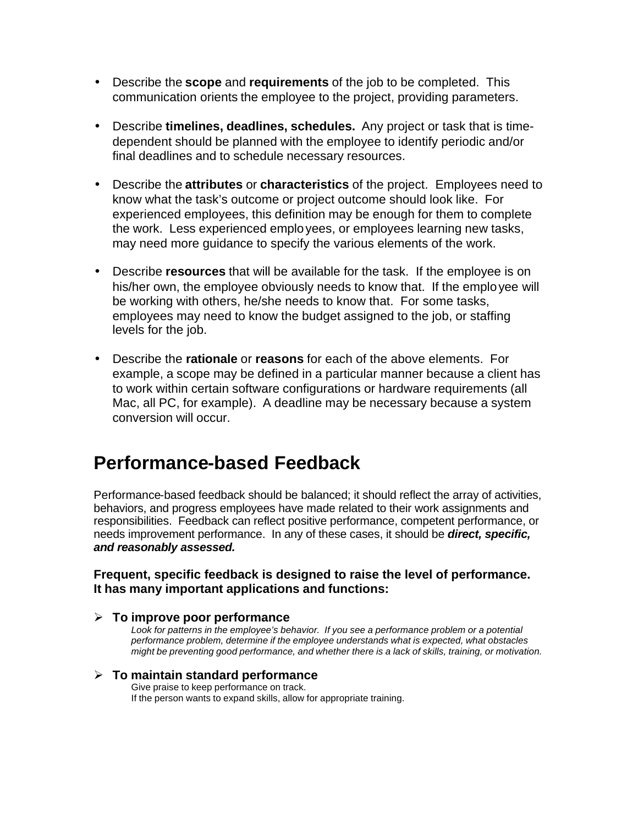- Describe the **scope** and **requirements** of the job to be completed. This communication orients the employee to the project, providing parameters.
- Describe **timelines, deadlines, schedules.** Any project or task that is timedependent should be planned with the employee to identify periodic and/or final deadlines and to schedule necessary resources.
- Describe the **attributes** or **characteristics** of the project. Employees need to know what the task's outcome or project outcome should look like. For experienced employees, this definition may be enough for them to complete the work. Less experienced employees, or employees learning new tasks, may need more guidance to specify the various elements of the work.
- Describe **resources** that will be available for the task. If the employee is on his/her own, the employee obviously needs to know that. If the employee will be working with others, he/she needs to know that. For some tasks, employees may need to know the budget assigned to the job, or staffing levels for the job.
- Describe the **rationale** or **reasons** for each of the above elements. For example, a scope may be defined in a particular manner because a client has to work within certain software configurations or hardware requirements (all Mac, all PC, for example). A deadline may be necessary because a system conversion will occur.

# **Performance-based Feedback**

Performance-based feedback should be balanced; it should reflect the array of activities, behaviors, and progress employees have made related to their work assignments and responsibilities. Feedback can reflect positive performance, competent performance, or needs improvement performance. In any of these cases, it should be *direct, specific, and reasonably assessed.*

### **Frequent, specific feedback is designed to raise the level of performance. It has many important applications and functions:**

### ÿ **To improve poor performance**

*Look for patterns in the employee's behavior. If you see a performance problem or a potential performance problem, determine if the employee understands what is expected, what obstacles might be preventing good performance, and whether there is a lack of skills, training, or motivation.*

### ÿ **To maintain standard performance**

Give praise to keep performance on track. If the person wants to expand skills, allow for appropriate training.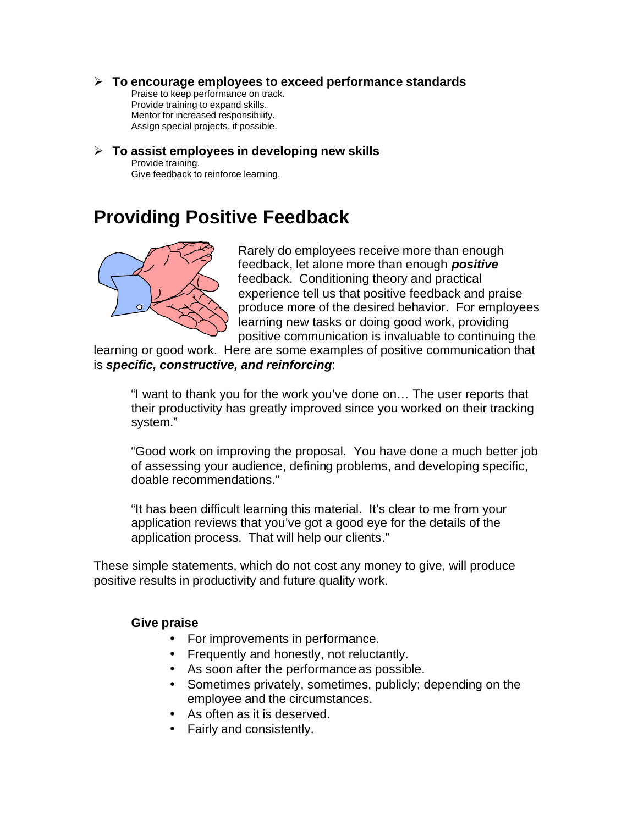### ÿ **To encourage employees to exceed performance standards**

Praise to keep performance on track. Provide training to expand skills. Mentor for increased responsibility. Assign special projects, if possible.

### ÿ **To assist employees in developing new skills** Provide training.

Give feedback to reinforce learning.

## **Providing Positive Feedback**



Rarely do employees receive more than enough feedback, let alone more than enough *positive* feedback. Conditioning theory and practical experience tell us that positive feedback and praise produce more of the desired behavior. For employees learning new tasks or doing good work, providing positive communication is invaluable to continuing the

learning or good work. Here are some examples of positive communication that is *specific, constructive, and reinforcing*:

"I want to thank you for the work you've done on… The user reports that their productivity has greatly improved since you worked on their tracking system."

"Good work on improving the proposal. You have done a much better job of assessing your audience, defining problems, and developing specific, doable recommendations."

"It has been difficult learning this material. It's clear to me from your application reviews that you've got a good eye for the details of the application process. That will help our clients."

These simple statements, which do not cost any money to give, will produce positive results in productivity and future quality work.

### **Give praise**

- For improvements in performance.
- Frequently and honestly, not reluctantly.
- As soon after the performance as possible.
- Sometimes privately, sometimes, publicly; depending on the employee and the circumstances.
- As often as it is deserved.
- Fairly and consistently.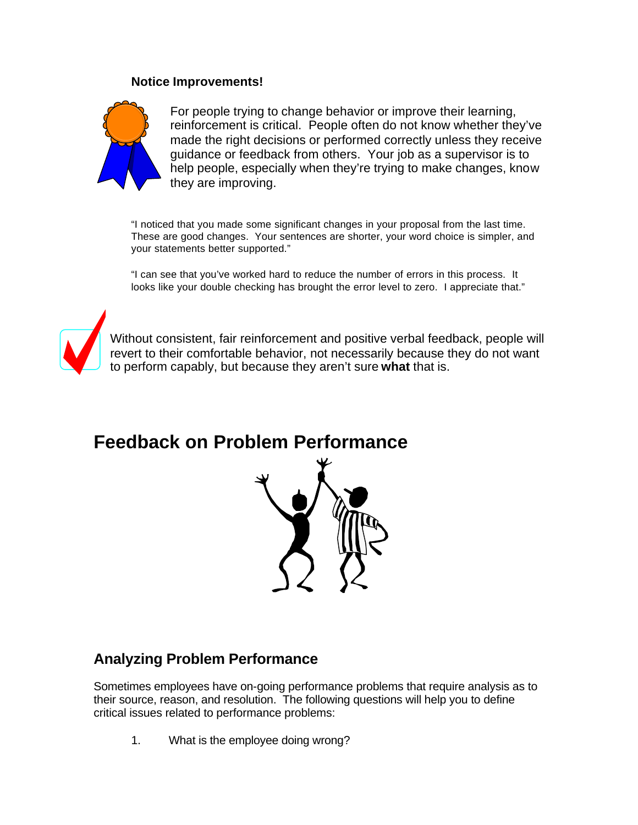### **Notice Improvements!**



For people trying to change behavior or improve their learning, reinforcement is critical. People often do not know whether they've made the right decisions or performed correctly unless they receive guidance or feedback from others. Your job as a supervisor is to help people, especially when they're trying to make changes, know they are improving.

"I noticed that you made some significant changes in your proposal from the last time. These are good changes. Your sentences are shorter, your word choice is simpler, and your statements better supported."

"I can see that you've worked hard to reduce the number of errors in this process. It looks like your double checking has brought the error level to zero. I appreciate that."



Without consistent, fair reinforcement and positive verbal feedback, people will revert to their comfortable behavior, not necessarily because they do not want to perform capably, but because they aren't sure **what** that is.

**Feedback on Problem Performance**



### **Analyzing Problem Performance**

Sometimes employees have on-going performance problems that require analysis as to their source, reason, and resolution. The following questions will help you to define critical issues related to performance problems:

1. What is the employee doing wrong?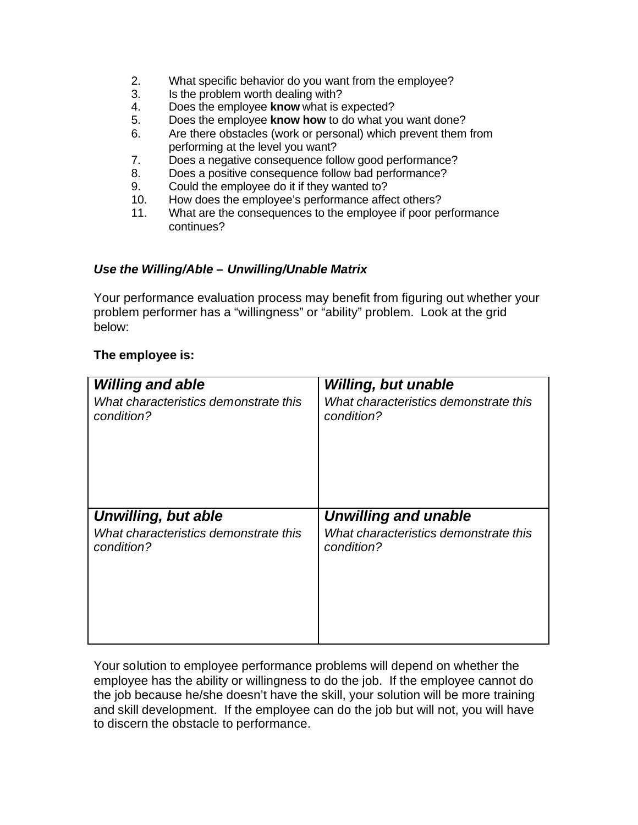- 2. What specific behavior do you want from the employee?
- 3. Is the problem worth dealing with?
- 4. Does the employee **know** what is expected?
- 5. Does the employee **know how** to do what you want done?
- 6. Are there obstacles (work or personal) which prevent them from performing at the level you want?
- 7. Does a negative consequence follow good performance?
- 8. Does a positive consequence follow bad performance?
- 9. Could the employee do it if they wanted to?
- 10. How does the employee's performance affect others?
- 11. What are the consequences to the employee if poor performance continues?

### *Use the Willing/Able – Unwilling/Unable Matrix*

Your performance evaluation process may benefit from figuring out whether your problem performer has a "willingness" or "ability" problem. Look at the grid below:

### **The employee is:**

| <b>Willing and able</b>               | <b>Willing, but unable</b>            |
|---------------------------------------|---------------------------------------|
| What characteristics demonstrate this | What characteristics demonstrate this |
| condition?                            | condition?                            |
| Unwilling, but able                   | <b>Unwilling and unable</b>           |
| What characteristics demonstrate this | What characteristics demonstrate this |
| condition?                            | condition?                            |

Your solution to employee performance problems will depend on whether the employee has the ability or willingness to do the job. If the employee cannot do the job because he/she doesn't have the skill, your solution will be more training and skill development. If the employee can do the job but will not, you will have to discern the obstacle to performance.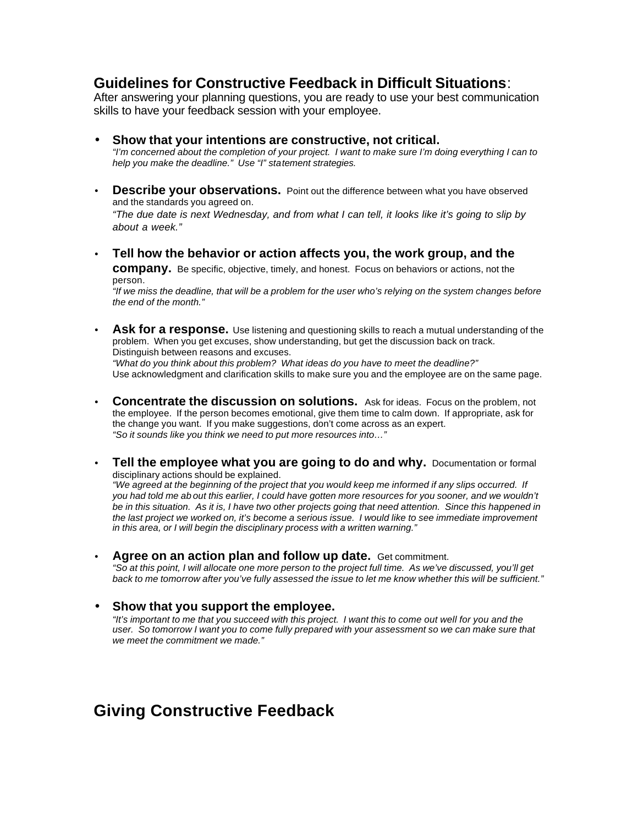### **Guidelines for Constructive Feedback in Difficult Situations**:

After answering your planning questions, you are ready to use your best communication skills to have your feedback session with your employee.

- **Show that your intentions are constructive, not critical.** *"I'm concerned about the completion of your project. I want to make sure I'm doing everything I can to help you make the deadline." Use "I" statement strategies.*
- **Describe your observations.** Point out the difference between what you have observed and the standards you agreed on. *"The due date is next Wednesday, and from what I can tell, it looks like it's going to slip by*

*about a week."*

- **Tell how the behavior or action affects you, the work group, and the company.** Be specific, objective, timely, and honest. Focus on behaviors or actions, not the person. *"If we miss the deadline, that will be a problem for the user who's relying on the system changes before the end of the month."*
- **Ask for a response.** Use listening and questioning skills to reach a mutual understanding of the problem. When you get excuses, show understanding, but get the discussion back on track. Distinguish between reasons and excuses.

*"What do you think about this problem? What ideas do you have to meet the deadline?"* Use acknowledgment and clarification skills to make sure you and the employee are on the same page.

- **Concentrate the discussion on solutions.** Ask for ideas. Focus on the problem, not the employee. If the person becomes emotional, give them time to calm down. If appropriate, ask for the change you want. If you make suggestions, don't come across as an expert. *"So it sounds like you think we need to put more resources into…"*
- **Tell the employee what you are going to do and why.** Documentation or formal disciplinary actions should be explained. *"We agreed at the beginning of the project that you would keep me informed if any slips occurred. If you had told me ab out this earlier, I could have gotten more resources for you sooner, and we wouldn't be in this situation. As it is, I have two other projects going that need attention. Since this happened in the last project we worked on, it's become a serious issue. I would like to see immediate improvement*
- **Agree on an action plan and follow up date.** Get commitment. *"So at this point, I will allocate one more person to the project full time. As we've discussed, you'll get back to me tomorrow after you've fully assessed the issue to let me know whether this will be sufficient."*

*in this area, or I will begin the disciplinary process with a written warning."*

#### • **Show that you support the employee.**

*"It's important to me that you succeed with this project. I want this to come out well for you and the user. So tomorrow I want you to come fully prepared with your assessment so we can make sure that we meet the commitment we made."*

### **Giving Constructive Feedback**